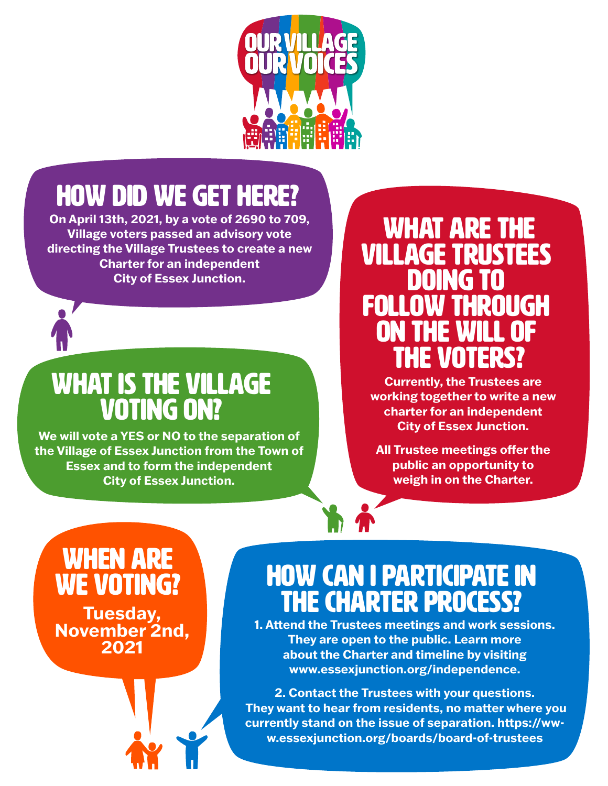

# How did we get here?

**On April 13th, 2021, by a vote of 2690 to 709, Village voters passed an advisory vote directing the Village Trustees to create a new Charter for an independent City of Essex Junction.** 



## what is the village voting on?

**We will vote a YES or NO to the separation of the Village of Essex Junction from the Town of Essex and to form the independent City of Essex Junction.**

### What are the Village Trustees doing to follow through on the will of the voters?

**Currently, the Trustees are working together to write a new charter for an independent City of Essex Junction.** 

**All Trustee meetings offer the public an opportunity to weigh in on the Charter.**

# when are we voting?

**Tuesday, November 2nd, 2021**

# How can I participate in the charter process?

**1. Attend the Trustees meetings and work sessions. They are open to the public. Learn more about the Charter and timeline by visiting www.essexjunction.org/independence.** 

**2. Contact the Trustees with your questions. They want to hear from residents, no matter where you** currently stand on the issue of separation. https://ww**w.essexjunction.org/boards/board-of-trustees**